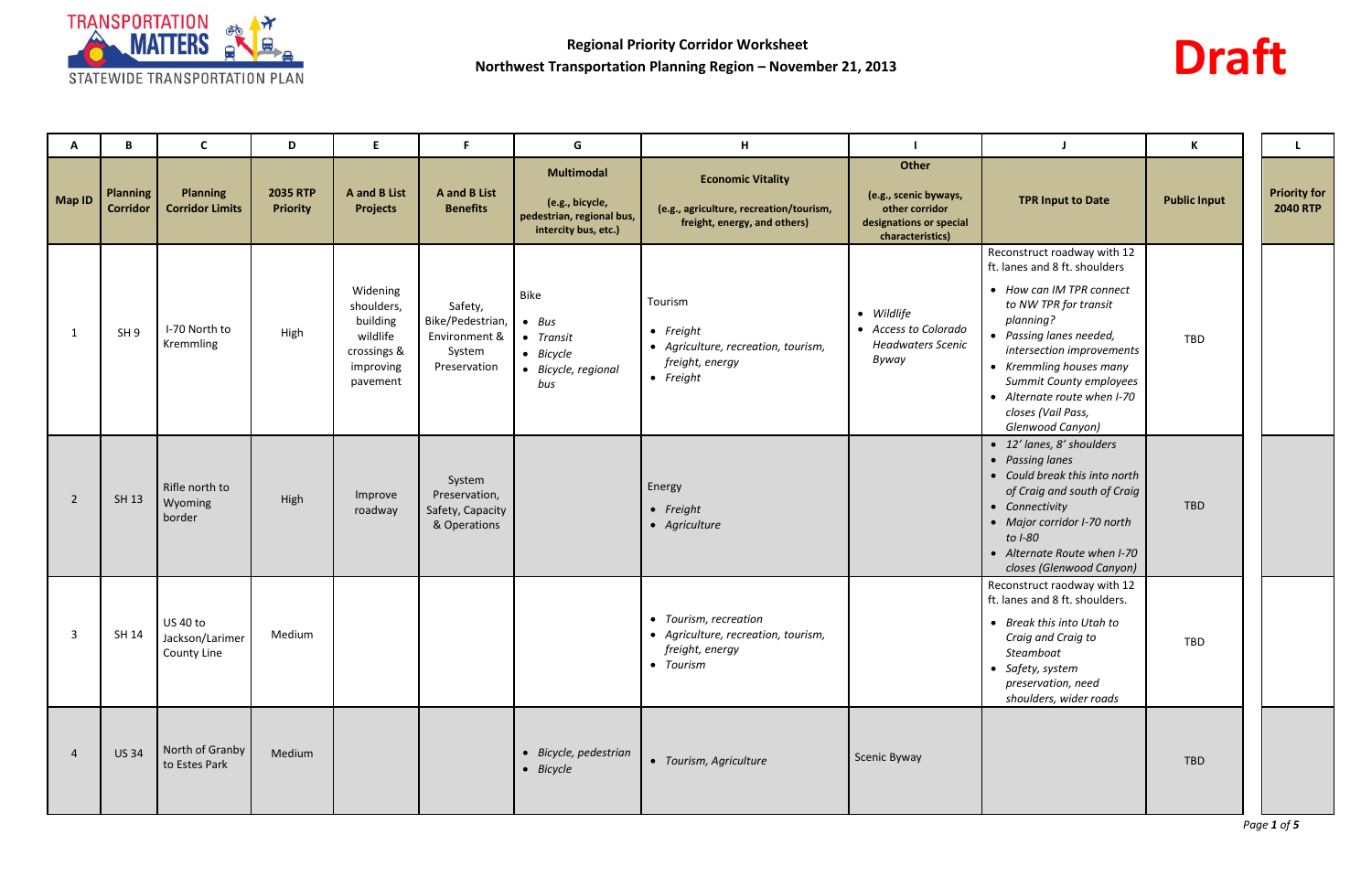



| A             | B                                  | C                                          | D                                  | Е                                                                                      | F.                                                                     | G                                                                                         | H                                                                                                           |                                                                                                 |                                                                                                                                                                                                                                                                                                                       | К                   |                                        |
|---------------|------------------------------------|--------------------------------------------|------------------------------------|----------------------------------------------------------------------------------------|------------------------------------------------------------------------|-------------------------------------------------------------------------------------------|-------------------------------------------------------------------------------------------------------------|-------------------------------------------------------------------------------------------------|-----------------------------------------------------------------------------------------------------------------------------------------------------------------------------------------------------------------------------------------------------------------------------------------------------------------------|---------------------|----------------------------------------|
| <b>Map ID</b> | <b>Planning</b><br><b>Corridor</b> | <b>Planning</b><br><b>Corridor Limits</b>  | <b>2035 RTP</b><br><b>Priority</b> | <b>A</b> and <b>B</b> List<br><b>Projects</b>                                          | <b>A</b> and <b>B</b> List<br><b>Benefits</b>                          | <b>Multimodal</b><br>(e.g., bicycle,<br>pedestrian, regional bus,<br>intercity bus, etc.) | <b>Economic Vitality</b><br>(e.g., agriculture, recreation/tourism,<br>freight, energy, and others)         | Other<br>(e.g., scenic byways,<br>other corridor<br>designations or special<br>characteristics) | <b>TPR Input to Date</b>                                                                                                                                                                                                                                                                                              | <b>Public Input</b> | <b>Priority for</b><br><b>2040 RTP</b> |
| 1             | SH <sub>9</sub>                    | I-70 North to<br>Kremmling                 | High                               | Widening<br>shoulders,<br>building<br>wildlife<br>crossings &<br>improving<br>pavement | Safety,<br>Bike/Pedestrian,<br>Environment &<br>System<br>Preservation | Bike<br>$- Bus$<br>• Transit<br>$\bullet$ Bicycle<br>• Bicycle, regional<br>bus           | Tourism<br>$\bullet$ Freight<br>• Agriculture, recreation, tourism,<br>freight, energy<br>$\bullet$ Freight | • Wildlife<br>• Access to Colorado<br><b>Headwaters Scenic</b><br>Byway                         | Reconstruct roadway with 12<br>ft. lanes and 8 ft. shoulders<br>• How can IM TPR connect<br>to NW TPR for transit<br>planning?<br>• Passing lanes needed,<br>intersection improvements<br>• Kremmling houses many<br>Summit County employees<br>• Alternate route when I-70<br>closes (Vail Pass,<br>Glenwood Canyon) | TBD                 |                                        |
| -2            | SH 13                              | Rifle north to<br>Wyoming<br>border        | High                               | Improve<br>roadway                                                                     | System<br>Preservation,<br>Safety, Capacity<br>& Operations            |                                                                                           | Energy<br>• Freight<br>• Agriculture                                                                        |                                                                                                 | • 12' lanes, 8' shoulders<br>• Passing lanes<br>• Could break this into north<br>of Craig and south of Craig<br>• Connectivity<br>• Major corridor I-70 north<br>to <i>I-80</i><br>• Alternate Route when I-70<br>closes (Glenwood Canyon)                                                                            | TBD                 |                                        |
| 3             | SH 14                              | US 40 to<br>Jackson/Larimer<br>County Line | Medium                             |                                                                                        |                                                                        |                                                                                           | • Tourism, recreation<br>• Agriculture, recreation, tourism,<br>freight, energy<br>• Tourism                |                                                                                                 | Reconstruct raodway with 12<br>ft. lanes and 8 ft. shoulders.<br>• Break this into Utah to<br>Craig and Craig to<br>Steamboat<br>• Safety, system<br>preservation, need<br>shoulders, wider roads                                                                                                                     | TBD                 |                                        |
|               | <b>US34</b>                        | North of Granby<br>to Estes Park           | Medium                             |                                                                                        |                                                                        | • Bicycle, pedestrian<br>• Bicycle                                                        | • Tourism, Agriculture                                                                                      | Scenic Byway                                                                                    |                                                                                                                                                                                                                                                                                                                       | TBD                 |                                        |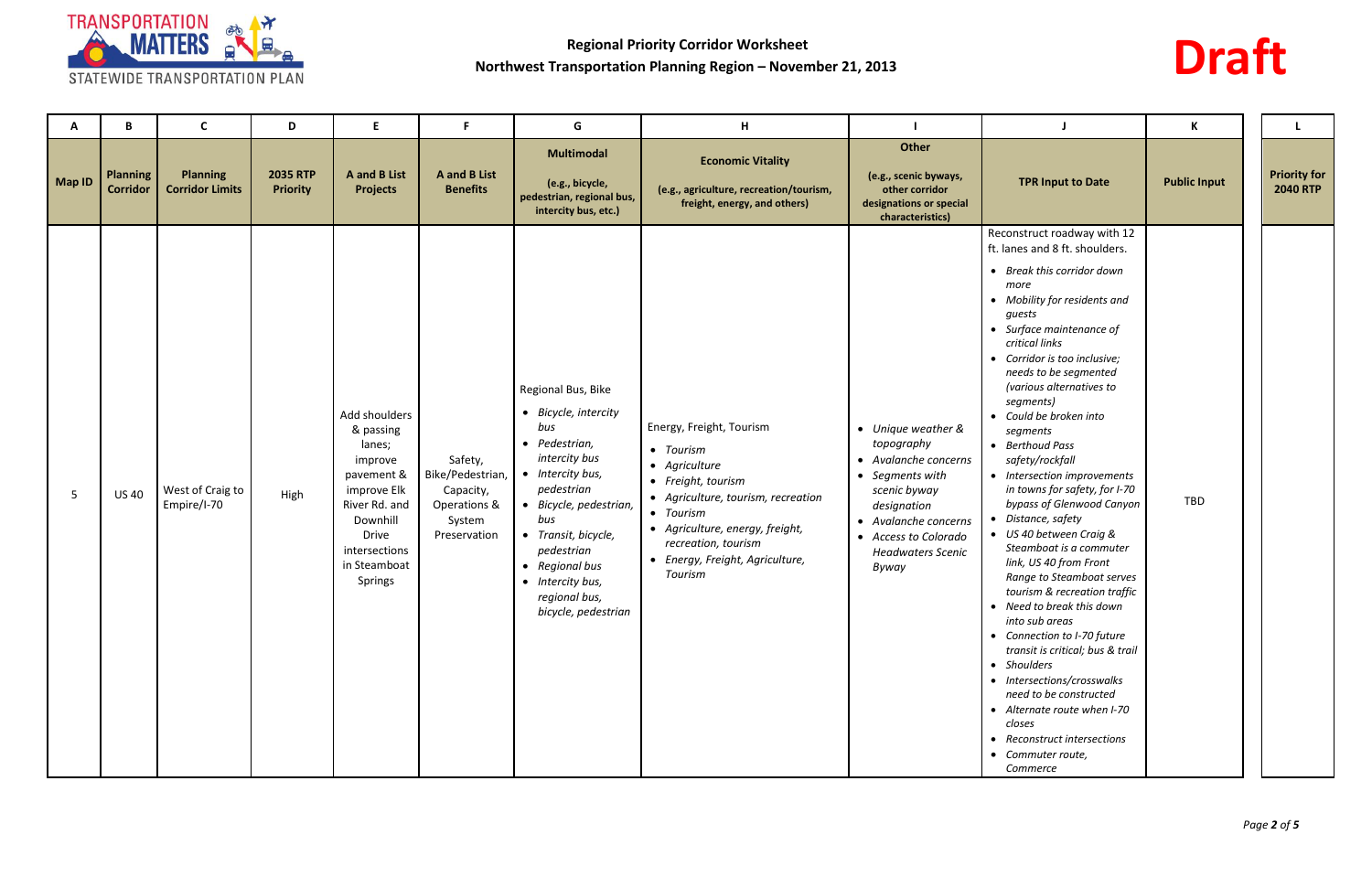

# **Draft**

| A             | B                                  | <b>C</b>                                  | D                                  | E                                                                                                                                                                     | -F                                                                                 | G                                                                                                                                                                                                                                                                     | H                                                                                                                                                                                                                                       |                                                                                                                                                                                                 |                                                                                                                                                                                                                                                                                                                                                                                                                                                                                                                                                                                                                                                                                                                                                                                                                                                                                                                                             | К                   |                                        |
|---------------|------------------------------------|-------------------------------------------|------------------------------------|-----------------------------------------------------------------------------------------------------------------------------------------------------------------------|------------------------------------------------------------------------------------|-----------------------------------------------------------------------------------------------------------------------------------------------------------------------------------------------------------------------------------------------------------------------|-----------------------------------------------------------------------------------------------------------------------------------------------------------------------------------------------------------------------------------------|-------------------------------------------------------------------------------------------------------------------------------------------------------------------------------------------------|---------------------------------------------------------------------------------------------------------------------------------------------------------------------------------------------------------------------------------------------------------------------------------------------------------------------------------------------------------------------------------------------------------------------------------------------------------------------------------------------------------------------------------------------------------------------------------------------------------------------------------------------------------------------------------------------------------------------------------------------------------------------------------------------------------------------------------------------------------------------------------------------------------------------------------------------|---------------------|----------------------------------------|
| <b>Map ID</b> | <b>Planning</b><br><b>Corridor</b> | <b>Planning</b><br><b>Corridor Limits</b> | <b>2035 RTP</b><br><b>Priority</b> | <b>A</b> and <b>B</b> List<br><b>Projects</b>                                                                                                                         | <b>A</b> and <b>B</b> List<br><b>Benefits</b>                                      | <b>Multimodal</b><br>(e.g., bicycle,<br>pedestrian, regional bus,<br>intercity bus, etc.)                                                                                                                                                                             | <b>Economic Vitality</b><br>(e.g., agriculture, recreation/tourism,<br>freight, energy, and others)                                                                                                                                     | Other<br>(e.g., scenic byways,<br>other corridor<br>designations or special<br>characteristics)                                                                                                 | <b>TPR Input to Date</b>                                                                                                                                                                                                                                                                                                                                                                                                                                                                                                                                                                                                                                                                                                                                                                                                                                                                                                                    | <b>Public Input</b> | <b>Priority for</b><br><b>2040 RTP</b> |
| -5            | <b>US 40</b>                       | West of Craig to<br>Empire/I-70           | High                               | Add shoulders<br>& passing<br>lanes;<br>improve<br>pavement &<br>improve Elk<br>River Rd. and<br>Downhill<br><b>Drive</b><br>intersections<br>in Steamboat<br>Springs | Safety,<br>Bike/Pedestrian,<br>Capacity,<br>Operations &<br>System<br>Preservation | Regional Bus, Bike<br>• Bicycle, intercity<br>bus<br>• Pedestrian,<br>intercity bus<br>• Intercity bus,<br>pedestrian<br>Bicycle, pedestrian,<br>bus<br>Transit, bicycle,<br>pedestrian<br>• Regional bus<br>• Intercity bus,<br>regional bus,<br>bicycle, pedestrian | Energy, Freight, Tourism<br>• Tourism<br>• Agriculture<br>• Freight, tourism<br>• Agriculture, tourism, recreation<br>• Tourism<br>• Agriculture, energy, freight,<br>recreation, tourism<br>• Energy, Freight, Agriculture,<br>Tourism | • Unique weather &<br>topography<br>• Avalanche concerns<br>• Segments with<br>scenic byway<br>designation<br>• Avalanche concerns<br>• Access to Colorado<br><b>Headwaters Scenic</b><br>Byway | Reconstruct roadway with 12<br>ft. lanes and 8 ft. shoulders.<br>• Break this corridor down<br>more<br>• Mobility for residents and<br>guests<br>• Surface maintenance of<br>critical links<br>• Corridor is too inclusive;<br>needs to be segmented<br>(various alternatives to<br>segments)<br>• Could be broken into<br>segments<br>• Berthoud Pass<br>safety/rockfall<br>• Intersection improvements<br>in towns for safety, for I-70<br>bypass of Glenwood Canyon<br>• Distance, safety<br>• US 40 between Craig &<br>Steamboat is a commuter<br>link, US 40 from Front<br>Range to Steamboat serves<br>tourism & recreation traffic<br>• Need to break this down<br>into sub areas<br>• Connection to I-70 future<br>transit is critical; bus & trail<br>• Shoulders<br>• Intersections/crosswalks<br>need to be constructed<br>• Alternate route when I-70<br>closes<br>• Reconstruct intersections<br>• Commuter route,<br>Commerce | TBD                 |                                        |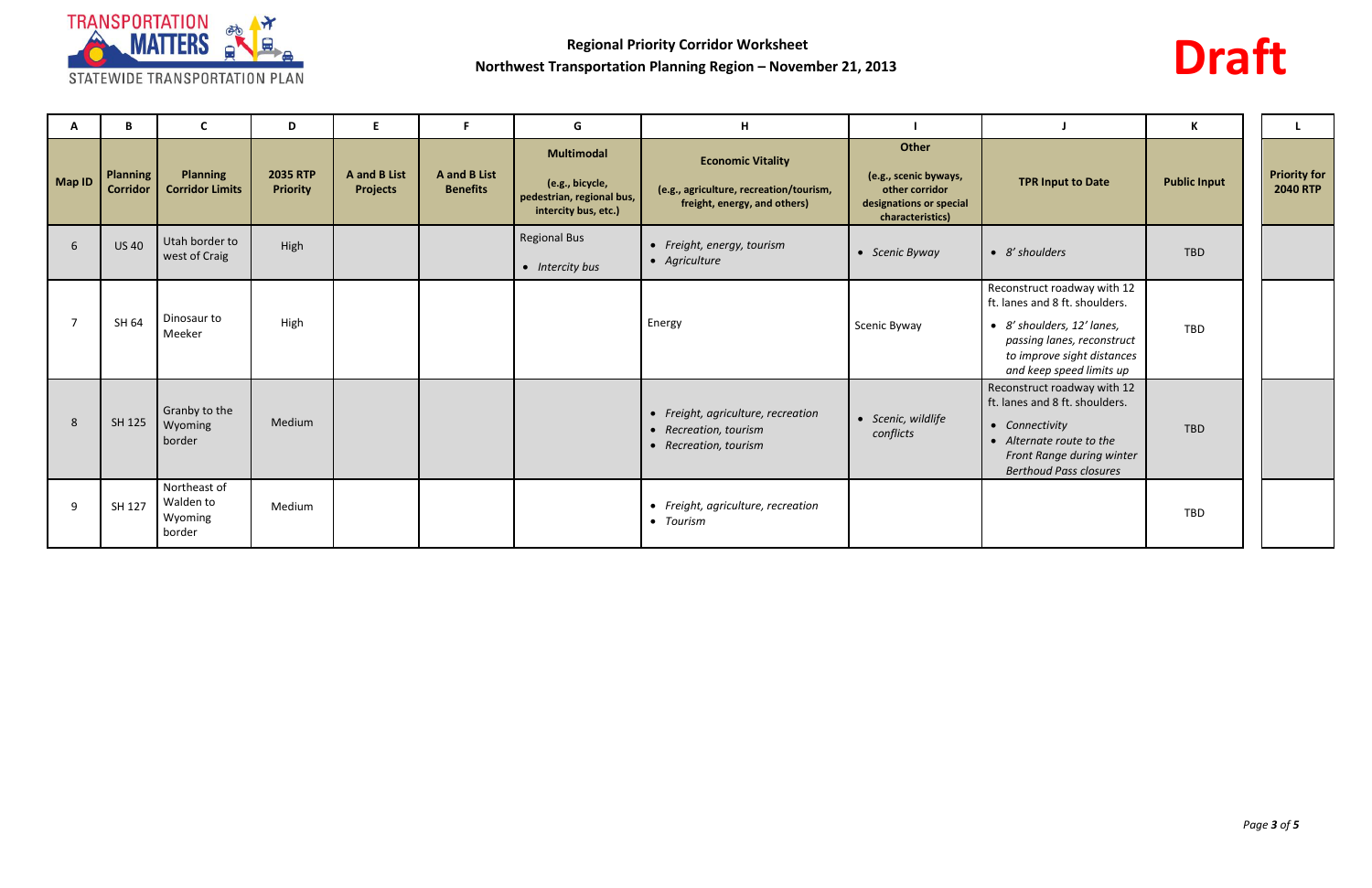

# **Draft**

| A              | B                                  | <b>C</b>                                       | D                                  | E.                                            | F.                                            | G                                                                                         | H                                                                                                   |                                                                                                 |                                                                                                                                                                                     | К                   |                                        |
|----------------|------------------------------------|------------------------------------------------|------------------------------------|-----------------------------------------------|-----------------------------------------------|-------------------------------------------------------------------------------------------|-----------------------------------------------------------------------------------------------------|-------------------------------------------------------------------------------------------------|-------------------------------------------------------------------------------------------------------------------------------------------------------------------------------------|---------------------|----------------------------------------|
| Map ID         | <b>Planning</b><br><b>Corridor</b> | <b>Planning</b><br><b>Corridor Limits</b>      | <b>2035 RTP</b><br><b>Priority</b> | <b>A</b> and <b>B</b> List<br><b>Projects</b> | <b>A</b> and <b>B</b> List<br><b>Benefits</b> | <b>Multimodal</b><br>(e.g., bicycle,<br>pedestrian, regional bus,<br>intercity bus, etc.) | <b>Economic Vitality</b><br>(e.g., agriculture, recreation/tourism,<br>freight, energy, and others) | Other<br>(e.g., scenic byways,<br>other corridor<br>designations or special<br>characteristics) | <b>TPR Input to Date</b>                                                                                                                                                            | <b>Public Input</b> | <b>Priority for</b><br><b>2040 RTP</b> |
| 6              | <b>US40</b>                        | Utah border to<br>west of Craig                | High                               |                                               |                                               | <b>Regional Bus</b><br>• Intercity bus                                                    | • Freight, energy, tourism<br>• Agriculture                                                         | • Scenic Byway                                                                                  | • 8' shoulders                                                                                                                                                                      | <b>TBD</b>          |                                        |
| $\overline{7}$ | SH 64                              | Dinosaur to<br>Meeker                          | High                               |                                               |                                               |                                                                                           | Energy                                                                                              | Scenic Byway                                                                                    | Reconstruct roadway with 12<br>ft. lanes and 8 ft. shoulders.<br>• 8' shoulders, 12' lanes,<br>passing lanes, reconstruct<br>to improve sight distances<br>and keep speed limits up | <b>TBD</b>          |                                        |
| 8              | SH 125                             | Granby to the<br>Wyoming<br>border             | Medium                             |                                               |                                               |                                                                                           | • Freight, agriculture, recreation<br>• Recreation, tourism<br>• Recreation, tourism                | · Scenic, wildlife<br>conflicts                                                                 | Reconstruct roadway with 12<br>ft. lanes and 8 ft. shoulders.<br>• Connectivity<br>• Alternate route to the<br>Front Range during winter<br><b>Berthoud Pass closures</b>           | <b>TBD</b>          |                                        |
| 9              | SH 127                             | Northeast of<br>Walden to<br>Wyoming<br>border | Medium                             |                                               |                                               |                                                                                           | • Freight, agriculture, recreation<br>• Tourism                                                     |                                                                                                 |                                                                                                                                                                                     | <b>TBD</b>          |                                        |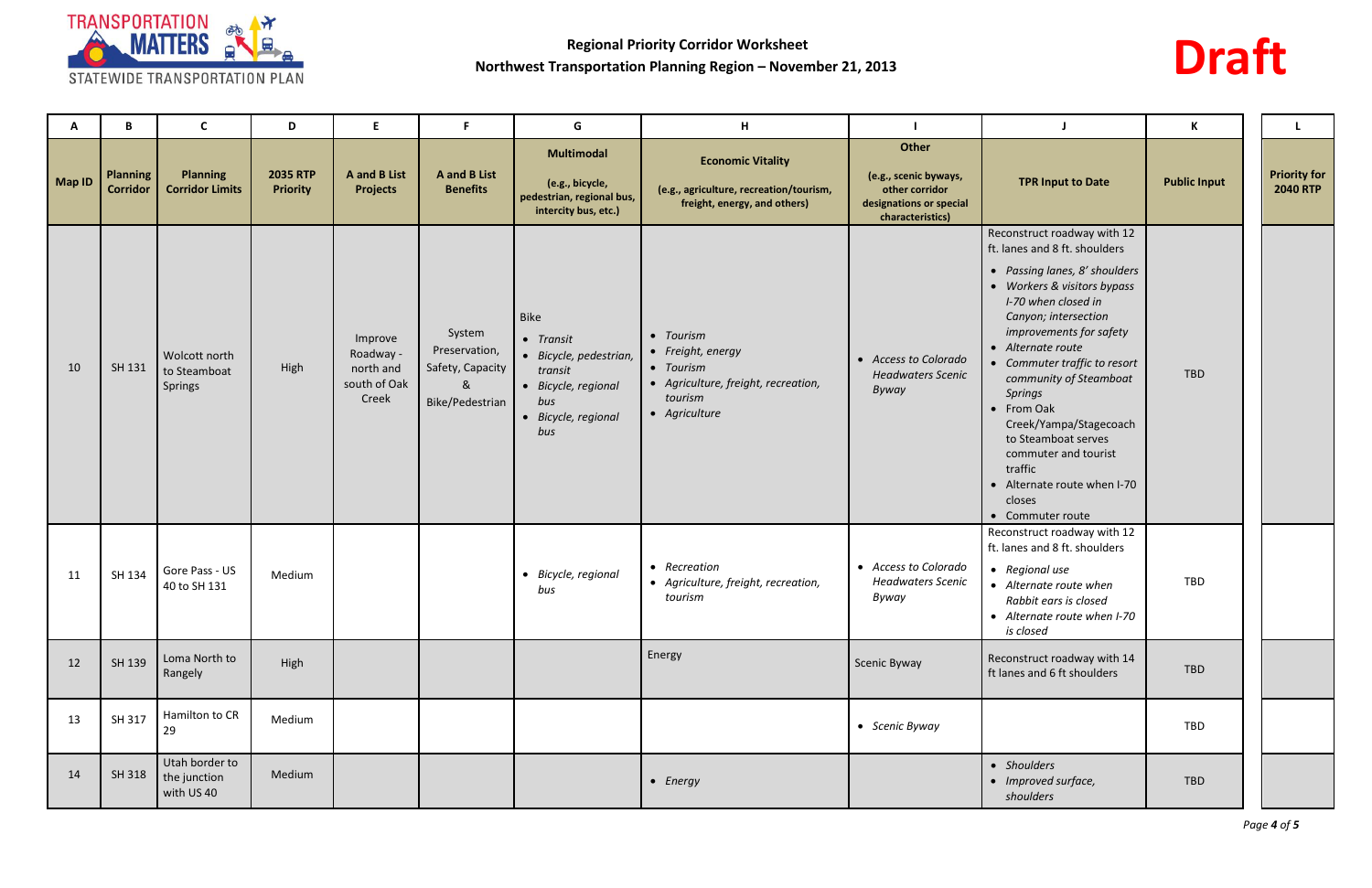

# **Draft**

| A             | B                                  | C                                            | D                                  | E.                                                         | F.                                                                  | G                                                                                                                  | H                                                                                                              |                                                                                                 | J                                                                                                                                                                                                                                                                                                                                                                                                                                                                      | К                   |                                        |
|---------------|------------------------------------|----------------------------------------------|------------------------------------|------------------------------------------------------------|---------------------------------------------------------------------|--------------------------------------------------------------------------------------------------------------------|----------------------------------------------------------------------------------------------------------------|-------------------------------------------------------------------------------------------------|------------------------------------------------------------------------------------------------------------------------------------------------------------------------------------------------------------------------------------------------------------------------------------------------------------------------------------------------------------------------------------------------------------------------------------------------------------------------|---------------------|----------------------------------------|
| <b>Map ID</b> | <b>Planning</b><br><b>Corridor</b> | <b>Planning</b><br><b>Corridor Limits</b>    | <b>2035 RTP</b><br><b>Priority</b> | <b>A</b> and <b>B</b> List<br><b>Projects</b>              | <b>A</b> and <b>B</b> List<br><b>Benefits</b>                       | <b>Multimodal</b><br>(e.g., bicycle,<br>pedestrian, regional bus,<br>intercity bus, etc.)                          | <b>Economic Vitality</b><br>(e.g., agriculture, recreation/tourism,<br>freight, energy, and others)            | Other<br>(e.g., scenic byways,<br>other corridor<br>designations or special<br>characteristics) | <b>TPR Input to Date</b>                                                                                                                                                                                                                                                                                                                                                                                                                                               | <b>Public Input</b> | <b>Priority for</b><br><b>2040 RTP</b> |
| 10            | SH 131                             | Wolcott north<br>to Steamboat<br>Springs     | High                               | Improve<br>Roadway -<br>north and<br>south of Oak<br>Creek | System<br>Preservation,<br>Safety, Capacity<br>&<br>Bike/Pedestrian | Bike<br>• Transit<br>• Bicycle, pedestrian,<br>transit<br>• Bicycle, regional<br>bus<br>• Bicycle, regional<br>bus | • Tourism<br>• Freight, energy<br>• Tourism<br>• Agriculture, freight, recreation,<br>tourism<br>• Agriculture | • Access to Colorado<br><b>Headwaters Scenic</b><br>Byway                                       | Reconstruct roadway with 12<br>ft. lanes and 8 ft. shoulders<br>• Passing lanes, 8' shoulders<br>• Workers & visitors bypass<br>I-70 when closed in<br>Canyon; intersection<br>improvements for safety<br>• Alternate route<br>• Commuter traffic to resort<br>community of Steamboat<br><b>Springs</b><br>• From Oak<br>Creek/Yampa/Stagecoach<br>to Steamboat serves<br>commuter and tourist<br>traffic<br>• Alternate route when I-70<br>closes<br>• Commuter route | TBD                 |                                        |
| 11            | SH 134                             | Gore Pass - US<br>40 to SH 131               | Medium                             |                                                            |                                                                     | • Bicycle, regional<br>bus                                                                                         | • Recreation<br>• Agriculture, freight, recreation,<br>tourism                                                 | • Access to Colorado<br><b>Headwaters Scenic</b><br>Byway                                       | Reconstruct roadway with 12<br>ft. lanes and 8 ft. shoulders<br>• Regional use<br>• Alternate route when<br>Rabbit ears is closed<br>• Alternate route when I-70<br>is closed                                                                                                                                                                                                                                                                                          | TBD                 |                                        |
| 12            | SH 139                             | Loma North to<br>Rangely                     | High                               |                                                            |                                                                     |                                                                                                                    | Energy                                                                                                         | Scenic Byway                                                                                    | Reconstruct roadway with 14<br>ft lanes and 6 ft shoulders                                                                                                                                                                                                                                                                                                                                                                                                             | TBD                 |                                        |
| 13            | SH 317                             | Hamilton to CR<br>29                         | Medium                             |                                                            |                                                                     |                                                                                                                    |                                                                                                                | • Scenic Byway                                                                                  |                                                                                                                                                                                                                                                                                                                                                                                                                                                                        | TBD                 |                                        |
| 14            | SH 318                             | Utah border to<br>the junction<br>with US 40 | Medium                             |                                                            |                                                                     |                                                                                                                    | $\bullet$ Energy                                                                                               |                                                                                                 | • Shoulders<br>• Improved surface,<br>shoulders                                                                                                                                                                                                                                                                                                                                                                                                                        | TBD                 |                                        |